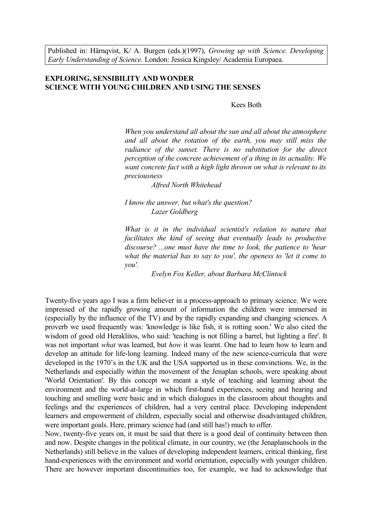Published in: Härnqvist, K/ A. Burgen (eds.)(1997), *Growing up with Science. Developing Early Understanding of Science.* London: Jessica Kingsley/ Academia Europaea.

# **EXPLORING, SENSIBILITY AND WONDER SCIENCE WITH YOUNG CHILDREN AND USING THE SENSES**

Kees Both

*When you understand all about the sun and all about the atmosphere and all about the rotation of the earth, you may still miss the radiance of the sunset. There is no substitution for the direct perception of the concrete achievement of a thing in its actuality. We want concrete fact with a high light thrown on what is relevant to its preciousness*

*Alfred North Whitehead*

*I know the answer, but what's the question? Lazer Goldberg*

*What is it in the individual scientist's relation to nature that facilitates the kind of seeing that eventually leads to productive discourse? ...one must have the time to look, the patience to 'hear what the material has to say to you', the openess to 'let it come to you'.*

*Evelyn Fox Keller, about Barbara McClintock*

Twenty-five years ago I was a firm believer in a process-approach to primary science. We were impressed of the rapidly growing amount of information the children were immersed in (especially by the influence of the TV) and by the rapidly expanding and changing sciences. A proverb we used frequently was: 'knowledge is like fish, it is rotting soon.' We also cited the wisdom of good old Heraklitos, who said: 'teaching is not filling a barrel, but lighting a fire'. It was not important *what* was learned, but *how* it was learnt. One had to learn how to learn and develop an attitude for life-long learning. Indeed many of the new science-curricula that were developed in the 1970's in the UK and the USA supported us in these convinctions. We, in the Netherlands and especially within the movement of the Jenaplan schools, were speaking about 'World Orientation'. By this concept we meant a style of teaching and learning about the environment and the world-at-large in which first-hand experiences, seeing and hearing and touching and smelling were basic and in which dialogues in the classroom about thoughts and feelings and the experiences of children, had a very central place. Developing independent learners and empowerment of children, especially social and otherwise disadvantaged children, were important goals. Here, primary science had (and still has!) much to offer.

Now, twenty-five years on, it must be said that there is a good deal of continuity between then and now. Despite changes in the political climate, in our country, we (the Jenaplanschools in the Netherlands) still believe in the values of developing independent learners, critical thinking, first hand-experiences with the environment and world orientation, especially with younger children. There are however important discontinuities too, for example, we had to acknowledge that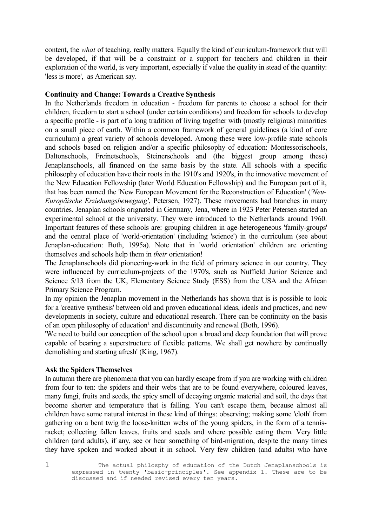content, the *what* of teaching, really matters. Equally the kind of curriculum-framework that will be developed, if that will be a constraint or a support for teachers and children in their exploration of the world, is very important, especially if value the quality in stead of the quantity: 'less is more', as American say.

#### **Continuity and Change: Towards a Creative Synthesis**

In the Netherlands freedom in education - freedom for parents to choose a school for their children, freedom to start a school (under certain conditions) and freedom for schools to develop a specific profile - is part of a long tradition of living together with (mostly religious) minorities on a small piece of earth. Within a common framework of general guidelines (a kind of core curriculum) a great variety of schools developed. Among these were low-profile state schools and schools based on religion and/or a specific philosophy of education: Montessorischools, Daltonschools, Freinetschools, Steinerschools and (the biggest group among these) Jenaplanschools, all financed on the same basis by the state. All schools with a specific philosophy of education have their roots in the 1910's and 1920's, in the innovative movement of the New Education Fellowship (later World Education Fellowship) and the European part of it, that has been named the 'New European Movement for the Reconstruction of Education' (*'Neu-Europäische Erziehungsbewegung'*, Petersen, 1927). These movements had branches in many countries. Jenaplan schools orignated in Germany, Jena, where in 1923 Peter Petersen started an experimental school at the university. They were introduced to the Netherlands around 1960. Important features of these schools are: grouping children in age-heterogeneous 'family-groups' and the central place of 'world-orientation' (including 'science') in the curriculum (see about Jenaplan-education: Both, 1995a). Note that in 'world orientation' children are orienting themselves and schools help them in *their* orientation!

The Jenaplanschools did pioneering-work in the field of primary science in our country. They were influenced by curriculum-projects of the 1970's, such as Nuffield Junior Science and Science 5/13 from the UK, Elementary Science Study (ESS) from the USA and the African Primary Science Program.

In my opinion the Jenaplan movement in the Netherlands has shown that is is possible to look for a 'creative synthesis' between old and proven educational ideas, ideals and practices, and new developments in society, culture and educational research. There can be continuity on the basis of an open philosophy of education<sup>[1](#page-1-0)</sup> and discontinuity and renewal (Both, 1996).

'We need to build our conception of the school upon a broad and deep foundation that will prove capable of bearing a superstructure of flexible patterns. We shall get nowhere by continually demolishing and starting afresh' (King, 1967).

# **Ask the Spiders Themselves**

In autumn there are phenomena that you can hardly escape from if you are working with children from four to ten: the spiders and their webs that are to be found everywhere, coloured leaves, many fungi, fruits and seeds, the spicy smell of decaying organic material and soil, the days that become shorter and temperature that is falling. You can't escape them, because almost all children have some natural interest in these kind of things: observing; making some 'cloth' from gathering on a bent twig the loose-knitten webs of the young spiders, in the form of a tennisracket; collecting fallen leaves, fruits and seeds and where possible eating them. Very little children (and adults), if any, see or hear something of bird-migration, despite the many times they have spoken and worked about it in school. Very few children (and adults) who have

<span id="page-1-0"></span>

<sup>1</sup> The actual philosphy of education of the Dutch Jenaplanschools is expressed in twenty 'basic-principles'. See appendix 1. These are to be discussed and if needed revised every ten years.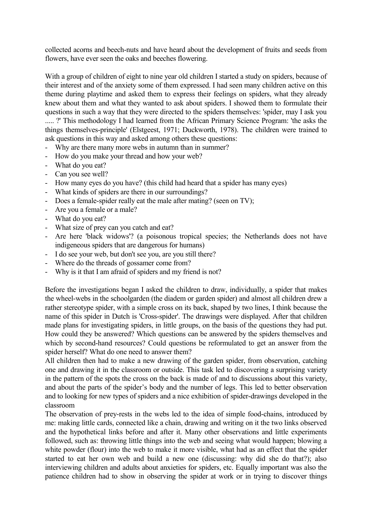collected acorns and beech-nuts and have heard about the development of fruits and seeds from flowers, have ever seen the oaks and beeches flowering.

With a group of children of eight to nine year old children I started a study on spiders, because of their interest and of the anxiety some of them expressed. I had seen many children active on this theme during playtime and asked them to express their feelings on spiders, what they already knew about them and what they wanted to ask about spiders. I showed them to formulate their questions in such a way that they were directed to the spiders themselves: 'spider, may I ask you ..... ?' This methodology I had learned from the African Primary Science Program: 'the asks the things themselves-principle' (Elstgeest, 1971; Duckworth, 1978). The children were trained to ask questions in this way and asked among others these questions:

- Why are there many more webs in autumn than in summer?
- How do you make your thread and how your web?
- What do you eat?
- Can you see well?
- How many eyes do you have? (this child had heard that a spider has many eyes)
- What kinds of spiders are there in our surroundings?
- Does a female-spider really eat the male after mating? (seen on TV);
- Are you a female or a male?
- What do you eat?
- What size of prey can you catch and eat?
- Are here 'black widows'? (a poisonous tropical species; the Netherlands does not have indigeneous spiders that are dangerous for humans)
- I do see your web, but don't see you, are you still there?
- Where do the threads of gossamer come from?
- Why is it that I am afraid of spiders and my friend is not?

Before the investigations began I asked the children to draw, individually, a spider that makes the wheel-webs in the schoolgarden (the diadem or garden spider) and almost all children drew a rather stereotype spider, with a simple cross on its back, shaped by two lines, I think because the name of this spider in Dutch is 'Cross-spider'. The drawings were displayed. After that children made plans for investigating spiders, in little groups, on the basis of the questions they had put. How could they be answered? Which questions can be answered by the spiders themselves and which by second-hand resources? Could questions be reformulated to get an answer from the spider herself? What do one need to answer them?

All children then had to make a new drawing of the garden spider, from observation, catching one and drawing it in the classroom or outside. This task led to discovering a surprising variety in the pattern of the spots the cross on the back is made of and to discussions about this variety, and about the parts of the spider's body and the number of legs. This led to better observation and to looking for new types of spiders and a nice exhibition of spider-drawings developed in the classroom

The observation of prey-rests in the webs led to the idea of simple food-chains, introduced by me: making little cards, connected like a chain, drawing and writing on it the two links observed and the hypothetical links before and after it. Many other observations and little experiments followed, such as: throwing little things into the web and seeing what would happen; blowing a white powder (flour) into the web to make it more visible, what had as an effect that the spider started to eat her own web and build a new one (discussing: why did she do that?); also interviewing children and adults about anxieties for spiders, etc. Equally important was also the patience children had to show in observing the spider at work or in trying to discover things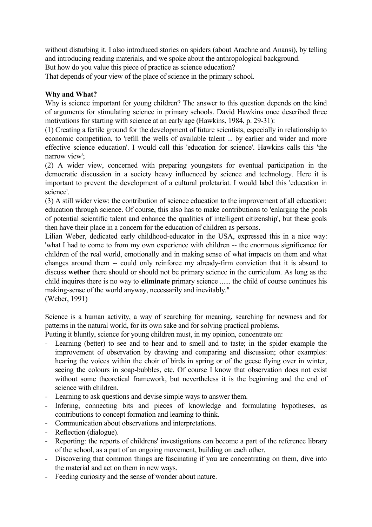without disturbing it. I also introduced stories on spiders (about Arachne and Anansi), by telling and introducing reading materials, and we spoke about the anthropological background.

But how do you value this piece of practice as science education?

That depends of your view of the place of science in the primary school.

# **Why and What?**

Why is science important for young children? The answer to this question depends on the kind of arguments for stimulating science in primary schools. David Hawkins once described three motivations for starting with science at an early age (Hawkins, 1984, p. 29-31):

(1) Creating a fertile ground for the development of future scientists, especially in relationship to economic competition, to 'refill the wells of available talent ... by earlier and wider and more effective science education'. I would call this 'education for science'. Hawkins calls this 'the narrow view'.

(2) A wider view, concerned with preparing youngsters for eventual participation in the democratic discussion in a society heavy influenced by science and technology. Here it is important to prevent the development of a cultural proletariat. I would label this 'education in science'.

(3) A still wider view: the contribution of science education to the improvement of all education: education through science. Of course, this also has to make contributions to 'enlarging the pools of potential scientific talent and enhance the qualities of intelligent citizenship', but these goals then have their place in a concern for the education of children as persons.

Lilian Weber, dedicated early childhood-educator in the USA, expressed this in a nice way: 'what I had to come to from my own experience with children -- the enormous significance for children of the real world, emotionally and in making sense of what impacts on them and what changes around them -- could only reinforce my already-firm conviction that it is absurd to discuss **wether** there should or should not be primary science in the curriculum. As long as the child inquires there is no way to **eliminate** primary science ...... the child of course continues his making-sense of the world anyway, necessarily and inevitably." (Weber, 1991)

Science is a human activity, a way of searching for meaning, searching for newness and for patterns in the natural world, for its own sake and for solving practical problems.

Putting it bluntly, science for young children must, in my opinion, concentrate on:

- Learning (better) to see and to hear and to smell and to taste; in the spider example the improvement of observation by drawing and comparing and discussion; other examples: hearing the voices within the choir of birds in spring or of the geese flying over in winter, seeing the colours in soap-bubbles, etc. Of course I know that observation does not exist without some theoretical framework, but nevertheless it is the beginning and the end of science with children.
- Learning to ask questions and devise simple ways to answer them.
- Infering, connecting bits and pieces of knowledge and formulating hypotheses, as contributions to concept formation and learning to think.
- Communication about observations and interpretations.
- Reflection (dialogue).
- Reporting: the reports of childrens' investigations can become a part of the reference library of the school, as a part of an ongoing movement, building on each other.
- Discovering that common things are fascinating if you are concentrating on them, dive into the material and act on them in new ways.
- Feeding curiosity and the sense of wonder about nature.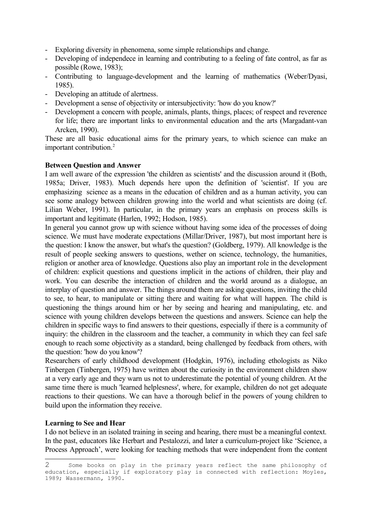- Exploring diversity in phenomena, some simple relationships and change.
- Developing of independece in learning and contributing to a feeling of fate control, as far as possible (Rowe, 1983);
- Contributing to language-development and the learning of mathematics (Weber/Dyasi, 1985).
- Developing an attitude of alertness.
- Development a sense of objectivity or intersubjectivity: 'how do you know?'
- Development a concern with people, animals, plants, things, places; of respect and reverence for life; there are important links to environmental education and the arts (Margadant-van Arcken, 1990).

These are all basic educational aims for the primary years, to which science can make an important contribution. [2](#page-4-0)

# **Between Question and Answer**

I am well aware of the expression 'the children as scientists' and the discussion around it (Both, 1985a; Driver, 1983). Much depends here upon the definition of 'scientist'. If you are emphasizing science as a means in the education of children and as a human activity, you can see some analogy between children growing into the world and what scientists are doing (cf. Lilian Weber, 1991). In particular, in the primary years an emphasis on process skills is important and legitimate (Harlen, 1992; Hodson, 1985).

In general you cannot grow up with science without having some idea of the processes of doing science. We must have moderate expectations (Millar/Driver, 1987), but most important here is the question: I know the answer, but what's the question? (Goldberg, 1979). All knowledge is the result of people seeking answers to questions, wether on science, technology, the humanities, religion or another area of knowledge. Questions also play an important role in the development of children: explicit questions and questions implicit in the actions of children, their play and work. You can describe the interaction of children and the world around as a dialogue, an interplay of question and answer. The things around them are asking questions, inviting the child to see, to hear, to manipulate or sitting there and waiting for what will happen. The child is questioning the things around him or her by seeing and hearing and manipulating, etc. and science with young children develops between the questions and answers. Science can help the children in specific ways to find answers to their questions, especially if there is a community of inquiry: the children in the classroom and the teacher, a community in which they can feel safe enough to reach some objectivity as a standard, being challenged by feedback from others, with the question: 'how do you know'?

Researchers of early childhood development (Hodgkin, 1976), including ethologists as Niko Tinbergen (Tinbergen, 1975) have written about the curiosity in the environment children show at a very early age and they warn us not to underestimate the potential of young children. At the same time there is much 'learned helplesness', where, for example, children do not get adequate reactions to their questions. We can have a thorough belief in the powers of young children to build upon the information they receive.

# **Learning to See and Hear**

I do not believe in an isolated training in seeing and hearing, there must be a meaningful context. In the past, educators like Herbart and Pestalozzi, and later a curriculum-project like 'Science, a Process Approach', were looking for teaching methods that were independent from the content

<span id="page-4-0"></span><sup>2</sup> Some books on play in the primary years reflect the same philosophy of education, especially if exploratory play is connected with reflection: Moyles, 1989; Wassermann, 1990.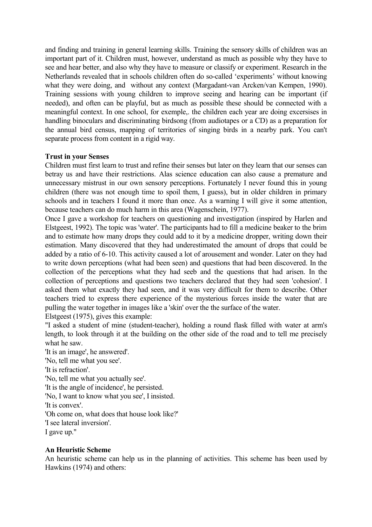and finding and training in general learning skills. Training the sensory skills of children was an important part of it. Children must, however, understand as much as possible why they have to see and hear better, and also why they have to measure or classify or experiment. Research in the Netherlands revealed that in schools children often do so-called 'experiments' without knowing what they were doing, and without any context (Margadant-van Arcken/van Kempen, 1990). Training sessions with young children to improve seeing and hearing can be important (if needed), and often can be playful, but as much as possible these should be connected with a meaningful context. In one school, for exemple,. the children each year are doing excersises in handling binoculars and discriminating birdsong (from audiotapes or a CD) as a preparation for the annual bird census, mapping of territories of singing birds in a nearby park. You can't separate process from content in a rigid way.

#### **Trust in your Senses**

Children must first learn to trust and refine their senses but later on they learn that our senses can betray us and have their restrictions. Alas science education can also cause a premature and unnecessary mistrust in our own sensory perceptions. Fortunately I never found this in young children (there was not enough time to spoil them, I guess), but in older children in primary schools and in teachers I found it more than once. As a warning I will give it some attention, because teachers can do much harm in this area (Wagenschein, 1977).

Once I gave a workshop for teachers on questioning and investigation (inspired by Harlen and Elstgeest, 1992). The topic was 'water'. The participants had to fill a medicine beaker to the brim and to estimate how many drops they could add to it by a medicine dropper, writing down their estimation. Many discovered that they had underestimated the amount of drops that could be added by a ratio of 6-10. This activity caused a lot of arousement and wonder. Later on they had to write down perceptions (what had been seen) and questions that had been discovered. In the collection of the perceptions what they had seeb and the questions that had arisen. In the collection of perceptions and questions two teachers declared that they had seen 'cohesion'. I asked them what exactly they had seen, and it was very difficult for them to describe. Other teachers tried to express there experience of the mysterious forces inside the water that are pulling the water together in images like a 'skin' over the the surface of the water.

Elstgeest (1975), gives this example:

"I asked a student of mine (student-teacher), holding a round flask filled with water at arm's length, to look through it at the building on the other side of the road and to tell me precisely what he saw.

'It is an image', he answered'. 'No, tell me what you see'. 'It is refraction'. 'No, tell me what you actually see'. 'It is the angle of incidence', he persisted. 'No, I want to know what you see', I insisted. 'It is convex'. 'Oh come on, what does that house look like?' 'I see lateral inversion'. I gave up."

# **An Heuristic Scheme**

An heuristic scheme can help us in the planning of activities. This scheme has been used by Hawkins (1974) and others: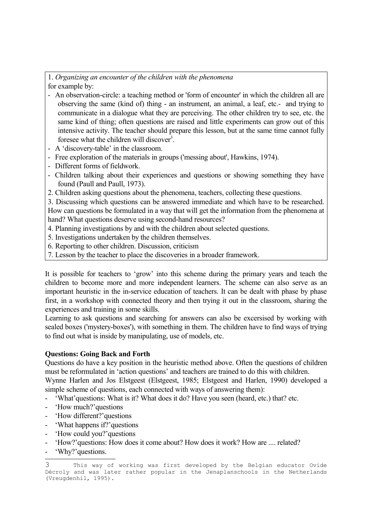#### 1. *Organizing an encounter of the children with the phenomena* for example by:

- An observation-circle: a teaching method or 'form of encounter' in which the children all are observing the same (kind of) thing - an instrument, an animal, a leaf, etc.- and trying to communicate in a dialogue what they are perceiving. The other children try to see, etc. the same kind of thing; often questions are raised and little experiments can grow out of this intensive activity. The teacher should prepare this lesson, but at the same time cannot fully foresee what the children will discover<sup>[3](#page-6-0)</sup>.
- A 'discovery-table' in the classroom.
- Free exploration of the materials in groups ('messing about', Hawkins, 1974).
- Different forms of fieldwork.
- Children talking about their experiences and questions or showing something they have found (Paull and Paull, 1973).
- 2. Children asking questions about the phenomena, teachers, collecting these questions.

3. Discussing which questions can be answered immediate and which have to be researched. How can questions be formulated in a way that will get the information from the phenomena at hand? What questions deserve using second-hand resources?

- 4. Planning investigations by and with the children about selected questions.
- 5. Investigations undertaken by the children themselves.
- 6. Reporting to other children. Discussion, criticism
- 7. Lesson by the teacher to place the discoveries in a broader framework.

It is possible for teachers to 'grow' into this scheme during the primary years and teach the children to become more and more independent learners. The scheme can also serve as an important heuristic in the in-service education of teachers. It can be dealt with phase by phase first, in a workshop with connected theory and then trying it out in the classroom, sharing the experiences and training in some skills.

Learning to ask questions and searching for answers can also be excersised by working with sealed boxes ('mystery-boxes'), with something in them. The children have to find ways of trying to find out what is inside by manipulating, use of models, etc.

# **Questions: Going Back and Forth**

Questions do have a key position in the heuristic method above. Often the questions of children must be reformulated in 'action questions' and teachers are trained to do this with children.

Wynne Harlen and Jos Elstgeest (Elstgeest, 1985; Elstgeest and Harlen, 1990) developed a simple scheme of questions, each connected with ways of answering them):

- 'What'questions: What is it? What does it do? Have you seen (heard, etc.) that? etc.
- 'How much?'questions
- 'How different?'questions
- 'What happens if?'questions
- 'How could you?'questions
- 'How?'questions: How does it come about? How does it work? How are .... related?
- 'Why?'questions.

<span id="page-6-0"></span><sup>3</sup> This way of working was first developed by the Belgian educator Ovide Décroly and was later rather popular in the Jenaplanschools in the Netherlands (Vreugdenhil, 1995).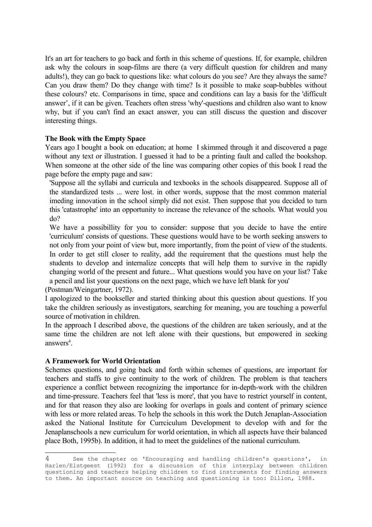It's an art for teachers to go back and forth in this scheme of questions. If, for example, children ask why the colours in soap-films are there (a very difficult question for children and many adults!), they can go back to questions like: what colours do you see? Are they always the same? Can you draw them? Do they change with time? Is it possible to make soap-bubbles without these colours? etc. Comparisons in time, space and conditions can lay a basis for the 'difficult answer', if it can be given. Teachers often stress 'why'-questions and children also want to know why, but if you can't find an exact answer, you can still discuss the question and discover interesting things.

# **The Book with the Empty Space**

Years ago I bought a book on education; at home I skimmed through it and discovered a page without any text or illustration. I guessed it had to be a printing fault and called the bookshop. When someone at the other side of the line was comparing other copies of this book I read the page before the empty page and saw:

'Suppose all the syllabi and curricula and texbooks in the schools disappeared. Suppose all of the standardized tests ... were lost. in other words, suppose that the most common material imeding innovation in the school simply did not exist. Then suppose that you decided to turn this 'catastrophe' into an opportunity to increase the relevance of the schools. What would you do?

We have a possibillity for you to consider: suppose that you decide to have the entire 'curriculum' consists of questions. These questions would have to be worth seeking answers to not only from your point of view but, more importantly, from the point of view of the students. In order to get still closer to reality, add the requirement that the questions must help the students to develop and internalize concepts that will help them to survive in the rapidly changing world of the present and future... What questions would you have on your list? Take a pencil and list your questions on the next page, which we have left blank for you'

(Postman/Weingartner, 1972). I apologized to the bookseller and started thinking about this question about questions. If you take the children seriously as investigators, searching for meaning, you are touching a powerful source of motivation in children.

In the approach I described above, the questions of the children are taken seriously, and at the same time the children are not left alone with their questions, but empowered in seeking answers [4](#page-7-0) .

# **A Framework for World Orientation**

Schemes questions, and going back and forth within schemes of questions, are important for teachers and staffs to give continuity to the work of children. The problem is that teachers experience a conflict between recognizing the importance for in-depth-work with the children and time-pressure. Teachers feel that 'less is more', that you have to restrict yourself in content, and for that reason they also are looking for overlaps in goals and content of primary science with less or more related areas. To help the schools in this work the Dutch Jenaplan-Association asked the National Institute for Currciculum Development to develop with and for the Jenaplanschools a new curriculum for world orientation, in which all aspects have their balanced place Both, 1995b). In addition, it had to meet the guidelines of the national curriculum.

<span id="page-7-0"></span><sup>4</sup> See the chapter on 'Encouraging and handling children's questions', in Harlen/Elstgeest (1992) for a discussion of this interplay between children questioning and teachers helping children to find instruments for finding answers to them. An important source on teaching and questioning is too: Dillon, 1988.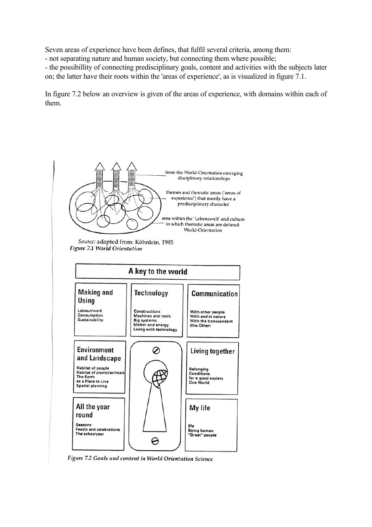Seven areas of experience have been defines, that fulfil several criteria, among them:

- not separating nature and human society, but connecting them where possible;

- the possibillity of connecting predisciplinary goals, content and activities with the subjects later on; the latter have their roots within the 'areas of experience', as is visualized in figure 7.1.

In figure 7.2 below an overview is given of the areas of experience, with domains within each of them.



Figure 7.2 Goals and content in World Orientation Science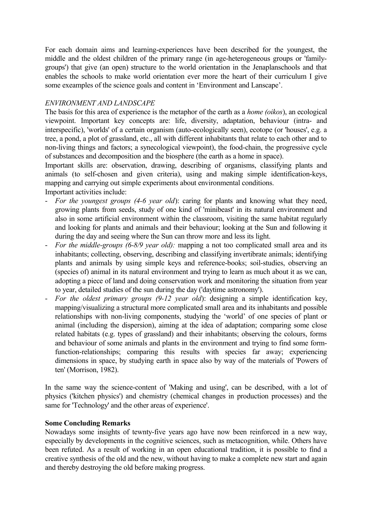For each domain aims and learning-experiences have been described for the youngest, the middle and the oldest children of the primary range (in age-heterogeneous groups or 'familygroups') that give (an open) structure to the world orientation in the Jenaplanschools and that enables the schools to make world orientation ever more the heart of their curriculum I give some exeamples of the science goals and content in 'Environment and Lanscape'.

# *ENVIRONMENT AND LANDSCAPE*

The basis for this area of experience is the metaphor of the earth as a *home (oikos*), an ecological viewpoint. Important key concepts are: life, diversity, adaptation, behaviour (intra- and interspecific), 'worlds' of a certain organism (auto-ecologically seen), ecotope (or 'houses', e.g. a tree, a pond, a plot of grassland, etc., all with different inhabitants that relate to each other and to non-living things and factors; a synecological viewpoint), the food-chain, the progressive cycle of substances and decomposition and the biosphere (the earth as a home in space).

Important skills are: observation, drawing, describing of organisms, classifying plants and animals (to self-chosen and given criteria), using and making simple identification-keys, mapping and carrying out simple experiments about environmental conditions.

Important activities include:

- *For the youngest groups (4-6 year old*): caring for plants and knowing what they need, growing plants from seeds, study of one kind of 'minibeast' in its natural environment and also in some artificial environment within the classroom, visiting the same habitat regularly and looking for plants and animals and their behaviour; looking at the Sun and following it during the day and seeing where the Sun can throw more and less its light.
- *For the middle-groups (6-8/9 year old):* mapping a not too complicated small area and its inhabitants; collecting, observing, describing and classifying invertibrate animals; identifying plants and animals by using simple keys and reference-books; soil-studies, observing an (species of) animal in its natural environment and trying to learn as much about it as we can, adopting a piece of land and doing conservation work and monitoring the situation from year to year, detailed studies of the sun during the day ('daytime astronomy').
- *For the oldest primary groups (9-12 year old*): designing a simple identification key, mapping/visualizing a structural more complicated small area and its inhabitants and possible relationships with non-living components, studying the 'world' of one species of plant or animal (including the dispersion), aiming at the idea of adaptation; comparing some close related habitats (e.g. types of grassland) and their inhabitants; observing the colours, forms and behaviour of some animals and plants in the environment and trying to find some formfunction-relationships; comparing this results with species far away; experiencing dimensions in space, by studying earth in space also by way of the materials of 'Powers of ten' (Morrison, 1982).

In the same way the science-content of 'Making and using', can be described, with a lot of physics ('kitchen physics') and chemistry (chemical changes in production processes) and the same for 'Technology' and the other areas of experience'.

# **Some Concluding Remarks**

Nowadays some insights of tewnty-five years ago have now been reinforced in a new way, especially by developments in the cognitive sciences, such as metacognition, while. Others have been refuted. As a result of working in an open educational tradition, it is possible to find a creative synthesis of the old and the new, without having to make a complete new start and again and thereby destroying the old before making progress.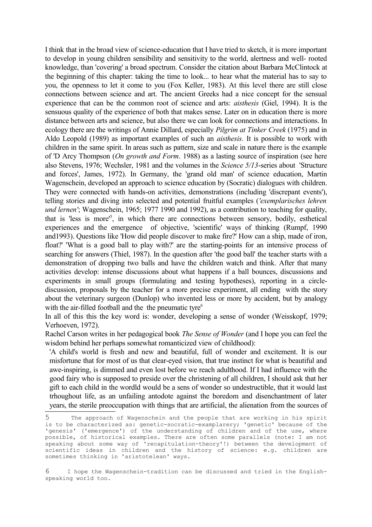I think that in the broad view of science-education that I have tried to sketch, it is more important to develop in young children sensibility and sensitivity to the world, alertness and well- rooted knowledge, than 'covering' a broad spectrum. Consider the citation about Barbara McClintock at the beginning of this chapter: taking the time to look... to hear what the material has to say to you, the openness to let it come to you (Fox Keller, 1983). At this level there are still close connections between science and art. The ancient Greeks had a nice concept for the sensual experience that can be the common root of science and arts: *aisthesis* (Giel, 1994). It is the sensuous quality of the experience of both that makes sense. Later on in education there is more distance between arts and science, but also there we can look for connections and interactions. In ecology there are the writings of Annie Dillard, especially *Pilgrim at Tinker Creek* (1975) and in Aldo Leopold (1989) as important examples of such an *aisthesis.* It is possible to work with children in the same spirit. In areas such as pattern, size and scale in nature there is the example of 'D Arcy Thompson (*On growth and Form*. 1988) as a lasting source of inspiration (see here also Stevens, 1976; Wechsler, 1981 and the volumes in the *Science 5/13*-series about 'Structure and forces', James, 1972). In Germany, the 'grand old man' of science education, Martin Wagenschein, developed an approach to science education by (Socratic) dialogues with children. They were connected with hands-on activities, demonstrations (including 'discrepant events'), telling stories and diving into selected and potential fruitful examples (*'exemplarisches lehren und lernen'*; Wagenschein, 1965; 1977 1990 and 1992), as a contribution to teaching for quality, that is 'less is more' [5](#page-10-0) , in which there are connections between sensory, bodily, esthetical experiences and the emergence of objective, 'scientific' ways of thinking (Rumpf, 1990 and1993). Questions like 'How did people discover to make fire?' How can a ship, made of iron, float?' 'What is a good ball to play with?' are the starting-points for an intensive process of searching for answers (Thiel, 1987). In the question after 'the good ball' the teacher starts with a demonstration of dropping two balls and have the children watch and think. After that many activities develop: intense discussions about what happens if a ball bounces, discussions and experiments in small groups (formulating and testing hypotheses), reporting in a circlediscussion, proposals by the teacher for a more precise experiment, all ending with the story about the veterinary surgeon (Dunlop) who invented less or more by accident, but by analogy with the air-filled football and the the pneumatic tyre<sup>[6](#page-10-1)</sup>

In all of this this the key word is: wonder, developing a sense of wonder (Weisskopf, 1979; Verhoeven, 1972).

Rachel Carson writes in her pedagogical book *The Sense of Wonder* (and I hope you can feel the wisdom behind her perhaps somewhat romanticized view of childhood):

'A child's world is fresh and new and beautiful, full of wonder and excitement. It is our misfortune that for most of us that clear-eyed vision, that true instinct for what is beautiful and awe-inspiring, is dimmed and even lost before we reach adulthood. If I had influence with the good fairy who is supposed to preside over the christening of all children, I should ask that her gift to each child in the wordld would be a sens of wonder so undestructible, that it would last trhoughout life, as an unfailing antodote against the boredom and disenchantment of later years, the sterile preoccupation with things that are artificial, the alienation from the sources of

<span id="page-10-0"></span><sup>5</sup> The approach of Wagenschein and the people that are working in his spirit is to be characterized as: genetic-socratic-examplarery; 'genetic' because of the 'genesis' ('emergence') of the understanding of children and of the use, where possible, of historical examples. There are often some parallels (note: I am not speaking about some way of 'recapitulation-theory'!) between the development of scientific ideas in children and the history of science: e.g. children are sometimes thinking in 'aristotelean' ways.

<span id="page-10-1"></span><sup>6</sup> I hope the Wagenschein-tradition can be discussed and tried in the Englishspeaking world too.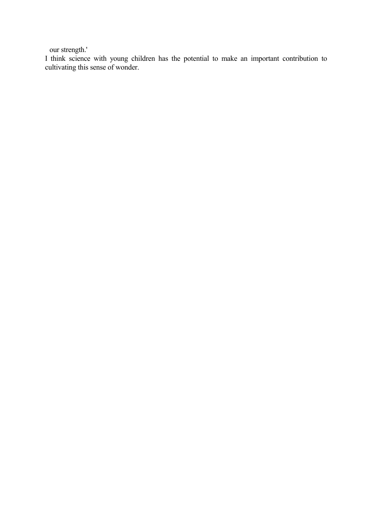our strength.'

I think science with young children has the potential to make an important contribution to cultivating this sense of wonder.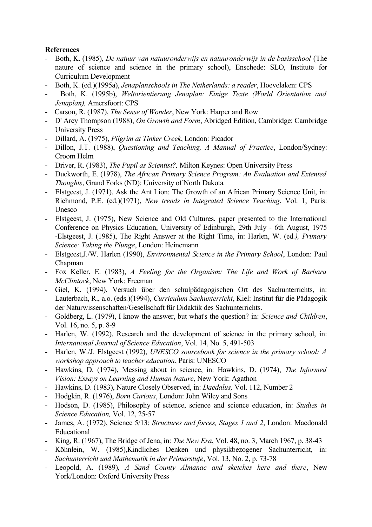# **References**

- Both, K. (1985), *De natuur van natuuronderwijs en natuuronderwijs in de basisschool* (The nature of science and science in the primary school), Enschede: SLO, Institute for Curriculum Development
- Both, K. (ed.)(1995a), *Jenaplanschools in The Netherlands: a reader*, Hoevelaken: CPS
- Both, K. (1995b), *Weltorientierung Jenaplan: Einige Texte (World Orientation and Jenaplan),* Amersfoort: CPS
- Carson, R. (1987), *The Sense of Wonder*, New York: Harper and Row
- D' Arcy Thompson (1988), *On Growth and Form*, Abridged Edition, Cambridge: Cambridge University Press
- Dillard, A. (1975), *Pilgrim at Tinker Creek*, London: Picador
- Dillon, J.T. (1988), *Questioning and Teaching, A Manual of Practice*, London/Sydney: Croom Helm
- Driver, R. (1983), *The Pupil as Scientist?,* Milton Keynes: Open University Press
- Duckworth, E. (1978), *The African Primary Science Program: An Evaluation and Extented Thoughts*, Grand Forks (ND): University of North Dakota
- Elstgeest, J. (1971), Ask the Ant Lion: The Growth of an African Primary Science Unit, in: Richmond, P.E. (ed.)(1971), *New trends in Integrated Science Teaching*, Vol. 1, Paris: Unesco
- Elstgeest, J. (1975), New Science and Old Cultures, paper presented to the International Conference on Physics Education, University of Edinburgh, 29th July - 6th August, 1975 -Elstgeest, J. (1985), The Right Answer at the Right Time, in: Harlen, W. (ed*.), Primary Science: Taking the Plunge*, London: Heinemann
- Elstgeest,J./W. Harlen (1990), *Environmental Science in the Primary School*, London: Paul Chapman
- Fox Keller, E. (1983), *A Feeling for the Organism: The Life and Work of Barbara McClintock*, New York: Freeman
- Giel, K. (1994), Versuch über den schulpädagogischen Ort des Sachunterrichts, in: Lauterbach, R., a.o. (eds.)(1994), *Curriculum Sachunterricht*, Kiel: Institut für die Pädagogik der Naturwissenschaften/Gesellschaft für Didaktik des Sachunterrichts.
- Goldberg, L. (1979), I know the answer, but what's the question? in: *Science and Children*, Vol. 16, no. 5, p. 8-9
- Harlen, W. (1992), Research and the development of science in the primary school, in: *International Journal of Science Education*, Vol. 14, No. 5, 491-503
- Harlen, W./J. Elstgeest (1992), *UNESCO sourcebook for science in the primary school: A workshop approach to teacher education*, Paris: UNESCO
- Hawkins, D. (1974), Messing about in science, in: Hawkins, D. (1974), *The Informed Vision: Essays on Learning and Human Nature*, New York: Agathon
- Hawkins, D. (1983), Nature Closely Observed, in: *Daedalus,* Vol. 112, Number 2
- Hodgkin, R. (1976), *Born Curious*, London: John Wiley and Sons
- Hodson, D. (1985), Philosophy of science, science and science education, in: *Studies in Science Education,* Vol. 12, 25-57
- James, A. (1972), Science 5/13: *Structures and forces, Stages 1 and 2*, London: Macdonald Educational
- King, R. (1967), The Bridge of Jena, in: *The New Era*, Vol. 48, no. 3, March 1967, p. 38-43
- Köhnlein, W. (1985),Kindliches Denken und physikbezogener Sachunterricht, in: *Sachunterricht und Mathematik in der Primarstufe*, Vol. 13, No. 2, p. 73-78
- Leopold, A. (1989), *A Sand County Almanac and sketches here and there*, New York/London: Oxford University Press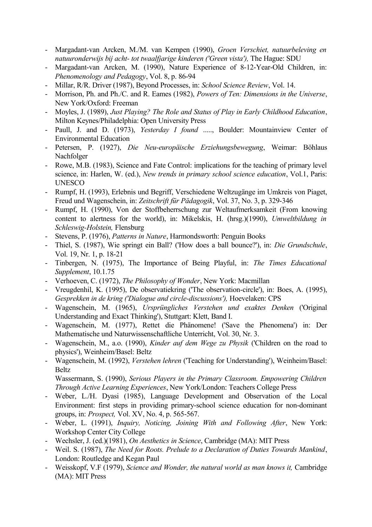- Margadant-van Arcken, M./M. van Kempen (1990), *Groen Verschiet, natuurbeleving en natuuronderwijs bij acht- tot twaalfjarige kinderen ('Green vista'),* The Hague: SDU
- Margadant-van Arcken, M. (1990), Nature Experience of 8-12-Year-Old Children, in: *Phenomenology and Pedagogy*, Vol. 8, p. 86-94
- Millar, R/R. Driver (1987), Beyond Processes, in: *School Science Review*, Vol. 14.
- Morrison, Ph. and Ph./C. and R. Eames (1982), *Powers of Ten: Dimensions in the Universe*, New York/Oxford: Freeman
- Moyles, J. (1989), *Just Playing? The Role and Status of Play in Early Childhood Education*, Milton Keynes/Philadelphia: Open University Press
- Paull, J. and D. (1973), *Yesterday I found* ....., Boulder: Mountainview Center of Environmental Education
- Petersen, P. (1927), *Die Neu-europäische Erziehungsbewegung*, Weimar: Böhlaus Nachfolger
- Rowe, M.B. (1983), Science and Fate Control: implications for the teaching of primary level science, in: Harlen, W. (ed.), *New trends in primary school science education*, Vol.1, Paris: UNESCO
- Rumpf, H. (1993), Erlebnis und Begriff, Verschiedene Weltzugänge im Umkreis von Piaget, Freud und Wagenschein, in: *Zeitschrift für Pädagogik*, Vol. 37, No. 3, p. 329-346
- Rumpf, H. (1990), Von der Stoffbeherrschung zur Weltaufmerksamkeit (From knowing content to alertness for the world), in: Mikelskis, H. (hrsg.)(1990), *Umweltbildung in Schleswig-Holstein,* Flensburg
- Stevens, P. (1976), *Patterns in Nature*, Harmondsworth: Penguin Books
- Thiel, S. (1987), Wie springt ein Ball? ('How does a ball bounce?'), in: *Die Grundschule*, Vol. 19, Nr. 1, p. 18-21
- Tinbergen, N. (1975), The Importance of Being Playful, in: *The Times Educational Supplement*, 10.1.75
- Verhoeven, C. (1972), *The Philosophy of Wonder*, New York: Macmillan
- Vreugdenhil, K. (1995), De observatiekring ('The observation-circle'), in: Boes, A. (1995), *Gesprekken in de kring ('Dialogue and circle-discussions'),* Hoevelaken: CPS
- Wagenschein, M. (1965), *Ursprüngliches Verstehen und exaktes Denken* ('Original Understanding and Exact Thinking'), Stuttgart: Klett, Band I.
- Wagenschein, M. (1977), Rettet die Phänomene! ('Save the Phenomena') in: Der Mathematische und Naturwissenschaftliche Unterricht, Vol. 30, Nr. 3.
- Wagenschein, M., a.o. (1990), *Kinder auf dem Wege zu Physik* ('Children on the road to physics'), Weinheim/Basel: Beltz
- Wagenschein, M. (1992), *Verstehen lehren* ('Teaching for Understanding'), Weinheim/Basel: **Beltz**

Wassermann, S. (1990), *Serious Players in the Primary Classroom. Empowering Children Through Active Learning Experiences*, New York/London: Teachers College Press

- Weber, L./H. Dyasi (1985), Language Development and Observation of the Local Environment: first steps in providing primary-school science education for non-dominant groups, in: *Prospect,* Vol. XV, No. 4, p. 565-567.
- Weber, L. (1991), *Inquiry, Noticing, Joining With and Following After*, New York: Workshop Center City College
- Wechsler, J. (ed.)(1981), *On Aesthetics in Science*, Cambridge (MA): MIT Press
- Weil. S. (1987), *The Need for Roots. Prelude to a Declaration of Duties Towards Mankind*, London: Routledge and Kegan Paul
- Weisskopf, V.F (1979), *Science and Wonder, the natural world as man knows it,* Cambridge (MA): MIT Press